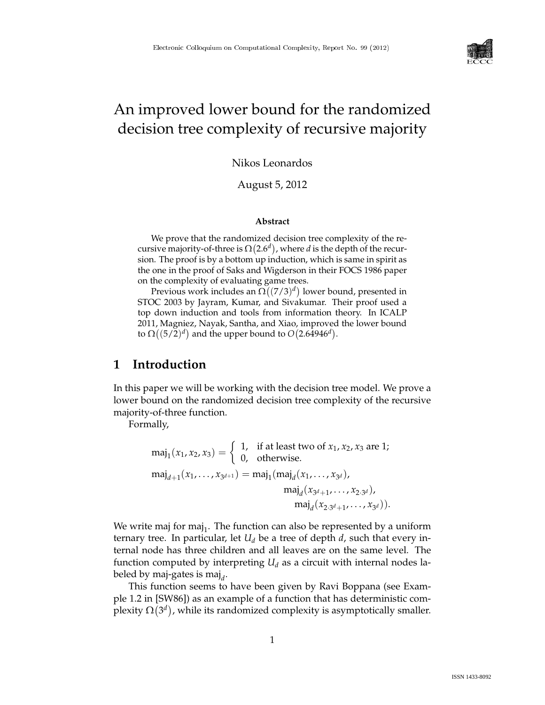

# An improved lower bound for the randomized decision tree complexity of recursive majority

Nikos Leonardos

August 5, 2012

#### **Abstract**

We prove that the randomized decision tree complexity of the recursive majority-of-three is  $\Omega(2.6^d)$ , where *d* is the depth of the recursion. The proof is by a bottom up induction, which is same in spirit as the one in the proof of Saks and Wigderson in their FOCS 1986 paper on the complexity of evaluating game trees.

Previous work includes an  $\Omega((7/3)^d)$  lower bound, presented in STOC 2003 by Jayram, Kumar, and Sivakumar. Their proof used a top down induction and tools from information theory. In ICALP 2011, Magniez, Nayak, Santha, and Xiao, improved the lower bound to  $\Omega((5/2)^d)$  and the upper bound to  $O(2.64946^d)$ .

## **1 Introduction**

In this paper we will be working with the decision tree model. We prove a lower bound on the randomized decision tree complexity of the recursive majority-of-three function.

Formally,

 $\text{maj}_1(x_1, x_2, x_3) = \begin{cases} 1, & \text{if at least two of } x_1, x_2, x_3 \text{ are 1;} \\ 0, & \text{otherwise.} \end{cases}$ 0, otherwise.  $\text{maj}_{d+1}(x_1, \ldots, x_{3^{d+1}}) = \text{maj}_1(\text{maj}_d(x_1, \ldots, x_{3^d}),$  $\text{maj}_d(x_{3^d+1}, \ldots, x_{2 \cdot 3^d}),$  $\text{maj}_d(x_{2\cdot3^d+1}, \ldots, x_{3^d})).$ 

We write maj for maj<sub>1</sub>. The function can also be represented by a uniform ternary tree. In particular, let  $U_d$  be a tree of depth  $d$ , such that every internal node has three children and all leaves are on the same level. The function computed by interpreting  $U_d$  as a circuit with internal nodes labeled by maj-gates is maj<sub>d</sub>.

This function seems to have been given by Ravi Boppana (see Example 1.2 in [SW86]) as an example of a function that has deterministic complexity  $\Omega(3^d)$ , while its randomized complexity is asymptotically smaller.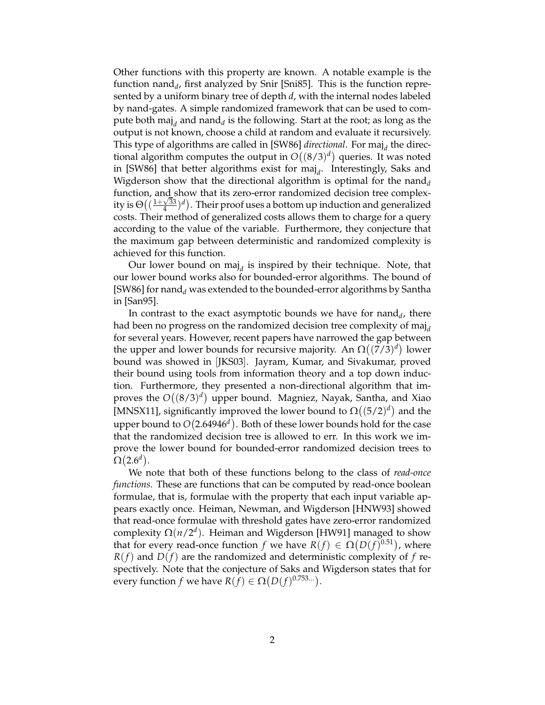Other functions with this property are known. A notable example is the function nand<sub>d</sub>, first analyzed by Snir [Sni85]. This is the function represented by a uniform binary tree of depth *d*, with the internal nodes labeled by nand-gates. A simple randomized framework that can be used to compute both maj<sub>d</sub> and nand<sub>d</sub> is the following. Start at the root; as long as the output is not known, choose a child at random and evaluate it recursively. This type of algorithms are called in [SW86] *directional*. For maj<sub>d</sub> the directional algorithm computes the output in  $O((8/3)^d)$  queries. It was noted in [SW86] that better algorithms exist for maj<sub>d</sub>. Interestingly, Saks and Wigderson show that the directional algorithm is optimal for the nand $_d$ function, and show that its zero-error randomized decision tree complex-<br> $\frac{(1+\sqrt{33})d}{2}$ ity is  $\Theta((\frac{1+\sqrt{33}}{4}$  $\frac{\sqrt{33}}{4}$ )<sup>d</sup>). Their proof uses a bottom up induction and generalized costs. Their method of generalized costs allows them to charge for a query according to the value of the variable. Furthermore, they conjecture that the maximum gap between deterministic and randomized complexity is achieved for this function.

Our lower bound on maj<sub>d</sub> is inspired by their technique. Note, that our lower bound works also for bounded-error algorithms. The bound of [SW86] for nand<sub>d</sub> was extended to the bounded-error algorithms by Santha in [San95].

In contrast to the exact asymptotic bounds we have for nand $_d$ , there had been no progress on the randomized decision tree complexity of maj<sub>d</sub> for several years. However, recent papers have narrowed the gap between the upper and lower bounds for recursive majority. An  $\Omega((7/3)^d)$  lower bound was showed in [JKS03]. Jayram, Kumar, and Sivakumar, proved their bound using tools from information theory and a top down induction. Furthermore, they presented a non-directional algorithm that improves the  $O((8/3)^d)$  upper bound. Magniez, Nayak, Santha, and Xiao [MNSX11], significantly improved the lower bound to  $\Omega((5/2)^d)$  and the upper bound to  $O(2.64946^d)$ . Both of these lower bounds hold for the case that the randomized decision tree is allowed to err. In this work we improve the lower bound for bounded-error randomized decision trees to  $\Omega(2.6^d)$ .

We note that both of these functions belong to the class of *read-once functions*. These are functions that can be computed by read-once boolean formulae, that is, formulae with the property that each input variable appears exactly once. Heiman, Newman, and Wigderson [HNW93] showed that read-once formulae with threshold gates have zero-error randomized complexity Ω(*n*/2*<sup>d</sup>* ). Heiman and Wigderson [HW91] managed to show that for every read-once function *f* we have  $R(f) \in \Omega(D(f)^{0.51})$ , where  $R(f)$  and  $D(f)$  are the randomized and deterministic complexity of  $f$  respectively. Note that the conjecture of Saks and Wigderson states that for every function *f* we have  $R(f) \in \Omega(D(f)^{0.753...})$ .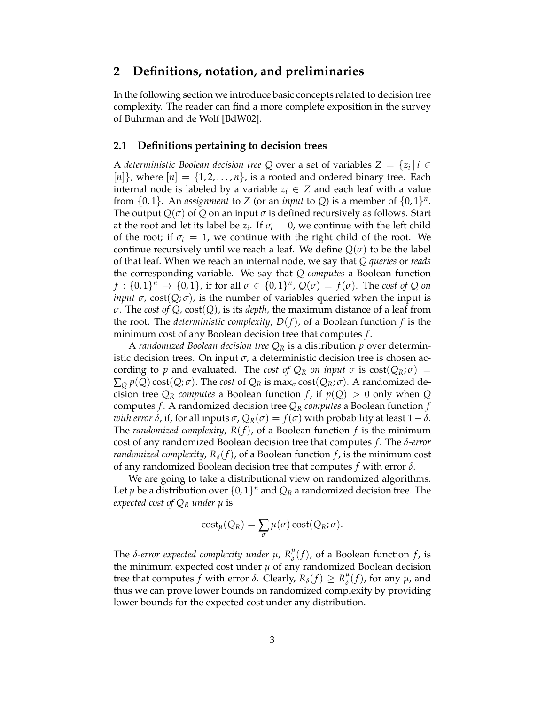### **2 Definitions, notation, and preliminaries**

In the following section we introduce basic concepts related to decision tree complexity. The reader can find a more complete exposition in the survey of Buhrman and de Wolf [BdW02].

#### **2.1 Definitions pertaining to decision trees**

A *deterministic Boolean decision tree* Q over a set of variables  $Z = \{z_i | i \in \mathbb{N}\}$  $[n]$ , where  $[n] = \{1, 2, ..., n\}$ , is a rooted and ordered binary tree. Each internal node is labeled by a variable  $z_i \in Z$  and each leaf with a value from  $\{0, 1\}$ . An *assignment* to *Z* (or an *input* to *Q*) is a member of  $\{0, 1\}^n$ . The output  $Q(\sigma)$  of  $Q$  on an input  $\sigma$  is defined recursively as follows. Start at the root and let its label be  $z_i$ . If  $\sigma_i = 0$ , we continue with the left child of the root; if  $\sigma_i = 1$ , we continue with the right child of the root. We continue recursively until we reach a leaf. We define  $Q(\sigma)$  to be the label of that leaf. When we reach an internal node, we say that *Q queries* or *reads* the corresponding variable. We say that *Q computes* a Boolean function  $f: \{0,1\}^n \to \{0,1\}$ , if for all  $\sigma \in \{0,1\}^n$ ,  $Q(\sigma) = f(\sigma)$ . The cost of Q on *input*  $\sigma$ , cost( $Q; \sigma$ ), is the number of variables queried when the input is *σ*. The *cost of Q*, cost(*Q*), is its *depth*, the maximum distance of a leaf from the root. The *deterministic complexity*,  $D(f)$ , of a Boolean function  $f$  is the minimum cost of any Boolean decision tree that computes *f* .

A *randomized Boolean decision tree Q<sup>R</sup>* is a distribution *p* over deterministic decision trees. On input  $\sigma$ , a deterministic decision tree is chosen according to *p* and evaluated. The *cost of*  $Q_R$  *on input*  $\sigma$  is  $cost(Q_R; \sigma)$  =  $\sum_{Q} p(Q) \cos t(Q; \sigma)$ . The *cost* of  $Q_R$  is max<sub> $\sigma$ </sub> cost( $Q_R$ ;  $\sigma$ ). A randomized decision tree  $Q_R$  *computes* a Boolean function *f*, if  $p(Q) > 0$  only when *Q* computes *f* . A randomized decision tree  $Q_R$  *computes* a Boolean function *f with error*  $\delta$ , if, for all inputs  $\sigma$ ,  $Q_R(\sigma) = f(\sigma)$  with probability at least 1 –  $\delta$ . The *randomized complexity*,  $R(f)$ , of a Boolean function  $f$  is the minimum cost of any randomized Boolean decision tree that computes *f* . The *δ-error randomized complexity,*  $R_\delta(f)$ , of a Boolean function f, is the minimum cost of any randomized Boolean decision tree that computes *f* with error *δ*.

We are going to take a distributional view on randomized algorithms. Let  $\mu$  be a distribution over  $\{0,1\}^n$  and  $Q_R$  a randomized decision tree. The *expected cost of*  $Q_R$  *under*  $\mu$  *is* 

$$
cost_{\mu}(Q_R) = \sum_{\sigma} \mu(\sigma) cost(Q_R; \sigma).
$$

The *δ*-error expected complexity under  $\mu$ ,  $R^{\mu}_{\delta}$  $\delta^{\mu}(f)$ , of a Boolean function *f*, is the minimum expected cost under  $\mu$  of any randomized Boolean decision tree that computes *f* with error  $\delta$ . Clearly,  $R_{\delta}(f) \geq R_{\delta}^{\mu}$  $\frac{\mu}{\delta}(f)$ , for any  $\mu$ , and thus we can prove lower bounds on randomized complexity by providing lower bounds for the expected cost under any distribution.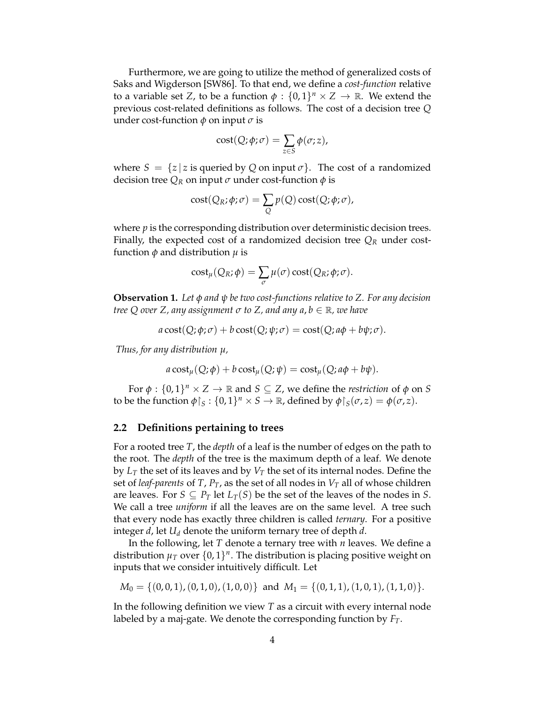Furthermore, we are going to utilize the method of generalized costs of Saks and Wigderson [SW86]. To that end, we define a *cost-function* relative to a variable set *Z*, to be a function  $\phi : \{0,1\}^n \times Z \to \mathbb{R}$ . We extend the previous cost-related definitions as follows. The cost of a decision tree *Q* under cost-function *φ* on input *σ* is

$$
cost(Q; \phi; \sigma) = \sum_{z \in S} \phi(\sigma; z),
$$

where  $S = \{z \mid z \text{ is queried by } Q \text{ on input } \sigma\}$ . The cost of a randomized decision tree  $Q_R$  on input  $\sigma$  under cost-function  $\phi$  is

$$
cost(Q_R; \phi; \sigma) = \sum_{Q} p(Q) \, cost(Q; \phi; \sigma),
$$

where *p* is the corresponding distribution over deterministic decision trees. Finally, the expected cost of a randomized decision tree  $Q_R$  under costfunction *φ* and distribution *µ* is

$$
cost_{\mu}(Q_R; \phi) = \sum_{\sigma} \mu(\sigma) cost(Q_R; \phi; \sigma).
$$

**Observation 1.** *Let φ and ψ be two cost-functions relative to Z. For any decision tree Q over Z, any assignment <sup>σ</sup> to Z, and any a*, *<sup>b</sup>* <sup>∈</sup> <sup>R</sup>*, we have*

$$
a \cos\left(\frac{Q}{\rho}, \phi, \sigma\right) + b \cos\left(\frac{Q}{\rho}, \psi, \sigma\right) = \cos\left(\frac{Q}{\rho}, a\phi + b\psi, \sigma\right).
$$

*Thus, for any distribution µ,*

$$
a \cos t_{\mu}(Q; \phi) + b \cos t_{\mu}(Q; \psi) = \cos t_{\mu}(Q; a\phi + b\psi).
$$

For  $\phi$  :  $\{0,1\}^n \times Z \to \mathbb{R}$  and  $S \subseteq Z$ , we define the *restriction* of  $\phi$  on *S* to be the function  $\phi \upharpoonright_S : \{0,1\}^n \times S \to \mathbb{R}$ , defined by  $\phi \upharpoonright_S (\sigma, z) = \phi(\sigma, z)$ .

#### **2.2 Definitions pertaining to trees**

For a rooted tree *T*, the *depth* of a leaf is the number of edges on the path to the root. The *depth* of the tree is the maximum depth of a leaf. We denote by  $L_T$  the set of its leaves and by  $V_T$  the set of its internal nodes. Define the set of *leaf-parents* of *T*, *PT*, as the set of all nodes in *V<sup>T</sup>* all of whose children are leaves. For  $S \subseteq P_T$  let  $L_T(S)$  be the set of the leaves of the nodes in *S*. We call a tree *uniform* if all the leaves are on the same level. A tree such that every node has exactly three children is called *ternary*. For a positive integer *d*, let *U<sup>d</sup>* denote the uniform ternary tree of depth *d*.

In the following, let *T* denote a ternary tree with *n* leaves. We define a distribution  $\mu_T$  over  $\{0,1\}^n$ . The distribution is placing positive weight on inputs that we consider intuitively difficult. Let

$$
M_0 = \{(0,0,1), (0,1,0), (1,0,0)\} \text{ and } M_1 = \{(0,1,1), (1,0,1), (1,1,0)\}.
$$

In the following definition we view *T* as a circuit with every internal node labeled by a maj-gate. We denote the corresponding function by *FT*.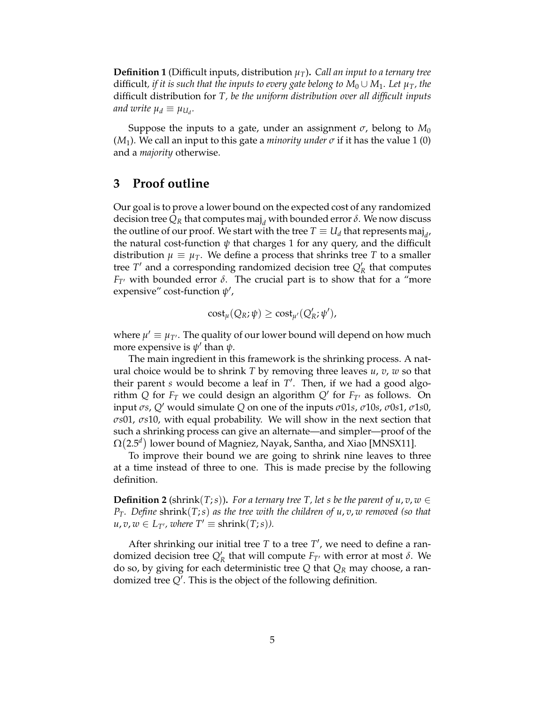**Definition 1** (Difficult inputs, distribution  $\mu_T$ ). *Call an input to a ternary tree* difficult, if it is such that the inputs to every gate belong to  $M_0 \cup M_1$ . Let  $\mu_T$ , the difficult distribution for *T, be the uniform distribution over all difficult inputs and write*  $\mu_d \equiv \mu_{U_d}$ .

Suppose the inputs to a gate, under an assignment  $\sigma$ , belong to  $M_0$ ( $M_1$ ). We call an input to this gate a *minority under*  $\sigma$  if it has the value 1 (0) and a *majority* otherwise.

### **3 Proof outline**

Our goal is to prove a lower bound on the expected cost of any randomized decision tree  $Q_R$  that computes maj<sub>d</sub> with bounded error  $\delta$ . We now discuss the outline of our proof. We start with the tree  $T \equiv U_d$  that represents maj<sub>d</sub>, the natural cost-function  $\psi$  that charges 1 for any query, and the difficult distribution  $\mu \equiv \mu_T$ . We define a process that shrinks tree *T* to a smaller tree  $T'$  and a corresponding randomized decision tree  $Q'_R$  that computes *F*<sub>*T'*</sub> with bounded error  $\delta$ . The crucial part is to show that for a "more" expensive" cost-function *ψ* ′ ,

$$
cost_{\mu}(Q_R; \psi) \ge cost_{\mu'}(Q'_R; \psi'),
$$

where  $\mu' \equiv \mu_{T'}$ . The quality of our lower bound will depend on how much more expensive is *ψ* ′ than *ψ*.

The main ingredient in this framework is the shrinking process. A natural choice would be to shrink *T* by removing three leaves *u*, *v*, *w* so that their parent *s* would become a leaf in *T* ′ . Then, if we had a good algorithm  $Q$  for  $F_T$  we could design an algorithm  $Q'$  for  $F_{T'}$  as follows. On input *σs*, *Q*′ would simulate *Q* on one of the inputs *σ*01*s*, *σ*10*s*, *σ*0*s*1, *σ*1*s*0, *σs*01, *σs*10, with equal probability. We will show in the next section that such a shrinking process can give an alternate—and simpler—proof of the  $\Omega(2.5^d)$  lower bound of Magniez, Nayak, Santha, and Xiao [MNSX11].

To improve their bound we are going to shrink nine leaves to three at a time instead of three to one. This is made precise by the following definition.

**Definition 2** (shrink(*T*; *s*)). *For a ternary tree T, let s be the parent of u, v, w*  $\in$ *PT. Define* shrink(*T*;*s*) *as the tree with the children of u*, *v*, *w removed (so that*  $u, v, w \in L_{T'}$ , where  $T' \equiv \text{shrink}(T; s)$ ).

After shrinking our initial tree *T* to a tree *T* ′ , we need to define a randomized decision tree  $Q'_R$  that will compute  $F_{T'}$  with error at most *δ*. We do so, by giving for each deterministic tree *Q* that *Q<sup>R</sup>* may choose, a randomized tree *Q*′ . This is the object of the following definition.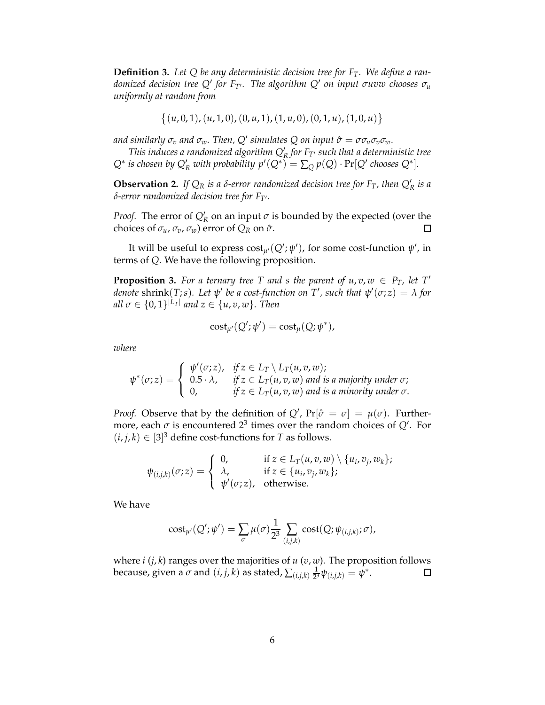**Definition 3.** *Let Q be any deterministic decision tree for FT. We define a randomized decision tree Q*′ *for FT*′ *. The algorithm Q*′ *on input σuvw chooses σ<sup>u</sup> uniformly at random from*

$$
\{(u,0,1),(u,1,0),(0,u,1),(1,u,0),(0,1,u),(1,0,u)\}
$$

*and similarly*  $\sigma_v$  *and*  $\sigma_w$ *. Then,*  $Q'$  *simulates*  $Q$  *on input*  $\hat{\sigma} = \sigma \sigma_u \sigma_v \sigma_w$ *.* 

*This induces a randomized algorithm Q*′ *R for FT*′ *such that a deterministic tree*  $Q^*$  *is chosen by*  $Q'_R$  *with probability*  $p'(Q^*) = \sum_Q p(Q) \cdot \Pr[Q'$  *chooses*  $Q^*$ *].* 

**Observation 2.** If  $Q_R$  is a  $\delta$ -error randomized decision tree for  $F_T$ , then  $Q'_R$  is a *δ-error randomized decision tree for FT*′*.*

*Proof.* The error of  $Q'_R$  on an input  $\sigma$  is bounded by the expected (over the choices of  $\sigma_u$ ,  $\sigma_v$ ,  $\sigma_w$ ) error of  $Q_R$  on  $\hat{\sigma}$ .  $\Box$ 

It will be useful to express  $\text{cost}_{\mu'}(Q';\psi')$ , for some cost-function  $\psi'$ , in terms of *Q*. We have the following proposition.

**Proposition 3.** For a ternary tree T and s the parent of  $u, v, w \in P_T$ , let T' *denote* shrink(T;s). Let  $\psi'$  be a cost-function on T', such that  $\psi'(\sigma;z) = \lambda$  for  $all \ \sigma \in \{0,1\}^{|L_T|}$  and  $z \in \{u,v,w\}$ . Then

$$
cost_{\mu'}(Q';\psi') = cost_{\mu}(Q;\psi^*),
$$

*where*

$$
\psi^*(\sigma; z) = \begin{cases} \psi'(\sigma; z), & \text{if } z \in L_T \setminus L_T(u, v, w); \\ 0.5 \cdot \lambda, & \text{if } z \in L_T(u, v, w) \text{ and is a majority under } \sigma; \\ 0, & \text{if } z \in L_T(u, v, w) \text{ and is a minority under } \sigma. \end{cases}
$$

*Proof.* Observe that by the definition of  $Q'$ ,  $Pr[\hat{\sigma} = \sigma] = \mu(\sigma)$ . Furthermore, each  $\sigma$  is encountered 2<sup>3</sup> times over the random choices of  $Q'$ . For  $(i, j, k) \in [3]^3$  define cost-functions for *T* as follows.

$$
\psi_{(i,j,k)}(\sigma; z) = \begin{cases} 0, & \text{if } z \in L_T(u,v,w) \setminus \{u_i,v_j,w_k\}; \\ \lambda, & \text{if } z \in \{u_i,v_j,w_k\}; \\ \psi'(\sigma; z), & \text{otherwise.} \end{cases}
$$

We have

$$
cost_{\mu'}(Q';\psi') = \sum_{\sigma} \mu(\sigma) \frac{1}{2^3} \sum_{(i,j,k)} cost(Q; \psi_{(i,j,k)}; \sigma),
$$

where  $i$  ( $j$ , $k$ ) ranges over the majorities of  $u$  ( $v$ , $w$ ). The proposition follows because, given a  $\sigma$  and  $(i,j,k)$  as stated,  $\sum_{(i,j,k)} \frac{1}{2^2}$  $\frac{1}{2^3}\psi_{(i,j,k)} = \psi^*.$  $\Box$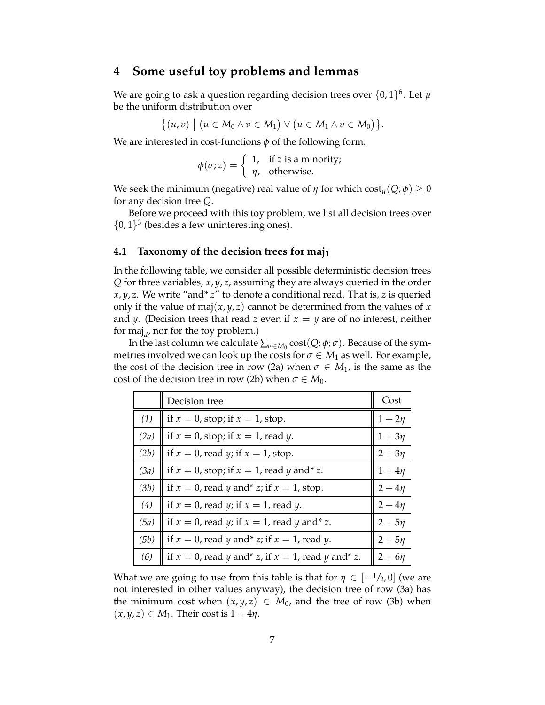## **4 Some useful toy problems and lemmas**

We are going to ask a question regarding decision trees over  $\{0,1\}^6$ . Let  $\mu$ be the uniform distribution over

$$
\{(u,v) \mid (u \in M_0 \land v \in M_1) \lor (u \in M_1 \land v \in M_0)\}.
$$

We are interested in cost-functions  $\phi$  of the following form.

$$
\phi(\sigma; z) = \begin{cases} 1, & \text{if } z \text{ is a minority;} \\ \eta, & \text{otherwise.} \end{cases}
$$

We seek the minimum (negative) real value of  $\eta$  for which cost<sub> $\mu$ </sub>( $Q$ ;  $\phi$ )  $\geq$  0 for any decision tree *Q*.

Before we proceed with this toy problem, we list all decision trees over  $\{0,1\}^3$  (besides a few uninteresting ones).

#### **4.1 Taxonomy of the decision trees for maj<sup>1</sup>**

In the following table, we consider all possible deterministic decision trees *Q* for three variables, *x*, *y*, *z*, assuming they are always queried in the order *x*, *y*, *z*. We write "and\* *z*" to denote a conditional read. That is, *z* is queried only if the value of maj $(x, y, z)$  cannot be determined from the values of x and *y*. (Decision trees that read *z* even if  $x = y$  are of no interest, neither for maj<sub>d</sub>, nor for the toy problem.)

In the last column we calculate  $\sum_{\sigma \in M_0} \text{cost}(Q; \phi; \sigma)$ . Because of the symmetries involved we can look up the costs for  $\sigma \in M_1$  as well. For example, the cost of the decision tree in row (2a) when  $\sigma \in M_1$ , is the same as the cost of the decision tree in row (2b) when  $\sigma \in M_0$ .

|      | Decision tree                                           | Cost        |
|------|---------------------------------------------------------|-------------|
| (1)  | if $x = 0$ , stop; if $x = 1$ , stop.                   | $1 + 2\eta$ |
| (2a) | if $x = 0$ , stop; if $x = 1$ , read y.                 | $1+3\eta$   |
| (2b) | if $x = 0$ , read y; if $x = 1$ , stop.                 | $2 + 3\eta$ |
| (3a) | if $x = 0$ , stop; if $x = 1$ , read y and* z.          | $1+4\eta$   |
| (3b) | if $x = 0$ , read y and* z; if $x = 1$ , stop.          | $2 + 4\eta$ |
| (4)  | if $x = 0$ , read y; if $x = 1$ , read y.               | $2 + 4\eta$ |
| (5a) | if $x = 0$ , read y; if $x = 1$ , read y and* z.        | $2+5\eta$   |
| (5b) | if $x = 0$ , read y and* z; if $x = 1$ , read y.        | $2+5\eta$   |
| (6)  | if $x = 0$ , read y and* z; if $x = 1$ , read y and* z. | $2+6n$      |

What we are going to use from this table is that for  $\eta \in [-1/2, 0]$  (we are not interested in other values anyway), the decision tree of row (3a) has the minimum cost when  $(x, y, z) \in M_0$ , and the tree of row (3b) when  $(x, y, z) \in M_1$ . Their cost is  $1 + 4\eta$ .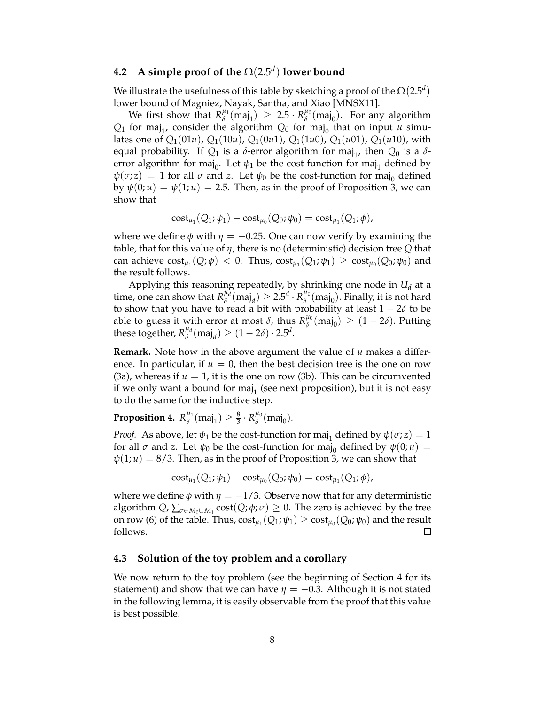# **4.2 A simple proof of the** Ω(2.5*<sup>d</sup>* ) **lower bound**

We illustrate the usefulness of this table by sketching a proof of the  $\Omega(2.5^d)$ lower bound of Magniez, Nayak, Santha, and Xiao [MNSX11].

We first show that  $R^{\mu_1}_{\delta}$  $\binom{\mu_1}{\delta}$  (maj<sub>1</sub>)  $\geq 2.5 \cdot R_{\delta}^{\mu_0}$  $\chi^{\mu_0}(\text{maj}_0)$ . For any algorithm  $Q_1$  for maj<sub>1</sub>, consider the algorithm  $Q_0$  for maj<sub>0</sub> that on input *u* simulates one of  $Q_1(01u)$ ,  $Q_1(10u)$ ,  $Q_1(0u1)$ ,  $Q_1(1u0)$ ,  $Q_1(u01)$ ,  $Q_1(u10)$ , with equal probability. If  $Q_1$  is a *δ*-error algorithm for maj<sub>1</sub>, then  $Q_0$  is a *δ*error algorithm for maj<sub>0</sub>. Let  $\psi_1$  be the cost-function for maj<sub>1</sub> defined by  $\psi(\sigma; z) = 1$  for all  $\sigma$  and  $z$ . Let  $\psi_0$  be the cost-function for maj<sub>0</sub> defined by  $\psi(0; u) = \psi(1; u) = 2.5$ . Then, as in the proof of Proposition 3, we can show that

$$
cost_{\mu_1}(Q_1; \psi_1) - cost_{\mu_0}(Q_0; \psi_0) = cost_{\mu_1}(Q_1; \phi),
$$

where we define  $\phi$  with  $\eta = -0.25$ . One can now verify by examining the table, that for this value of *η*, there is no (deterministic) decision tree *Q* that can achieve  $cost_{\mu_1}(Q; \phi) < 0$ . Thus,  $cost_{\mu_1}(Q_1; \psi_1) \geq cost_{\mu_0}(Q_0; \psi_0)$  and the result follows.

Applying this reasoning repeatedly, by shrinking one node in  $U_d$  at a time, one can show that  $R_{\delta}^{\mu \lambda}$  $\chi_{\delta}^{\mu_{d}}(\text{maj}_{d}) \geq 2.5^{d} \cdot R_{\delta}^{\mu_{0}}$  $\chi_{\delta}^{\mu_0}(\mathrm{maj}_0)$ . Finally, it is not hard to show that you have to read a bit with probability at least  $1 - 2\delta$  to be able to guess it with error at most  $\delta$ , thus  $R_{\delta}^{\mu_0}$  $\chi_{\delta}^{\mu_0}(\text{maj}_0) \geq (1-2\delta)$ . Putting these together,  $R_{\delta}^{\mu_d}$  $\chi_{\delta}^{\mu_d}(\text{maj}_d) \geq (1-2\delta) \cdot 2.5^d$ .

**Remark.** Note how in the above argument the value of *u* makes a difference. In particular, if  $u = 0$ , then the best decision tree is the one on row  $(3a)$ , whereas if  $u = 1$ , it is the one on row  $(3b)$ . This can be circumvented if we only want a bound for maj $_1$  (see next proposition), but it is not easy to do the same for the inductive step.

**Proposition 4.**  $R_{\delta}^{\mu_1}$  $\chi_{\delta}^{\mu_1}(\text{maj}_1) \geq \frac{8}{3} \cdot R_{\delta}^{\mu_0}$  $\frac{\mu_0}{\delta}$ (maj<sub>0</sub>).

*Proof.* As above, let  $\psi_1$  be the cost-function for maj<sub>1</sub> defined by  $\psi(\sigma; z) = 1$ for all  $\sigma$  and  $z$ . Let  $\psi_0$  be the cost-function for maj<sub>0</sub> defined by  $\psi(0;u)$  =  $\psi(1; u) = 8/3$ . Then, as in the proof of Proposition 3, we can show that

$$
cost_{\mu_1}(Q_1; \psi_1) - cost_{\mu_0}(Q_0; \psi_0) = cost_{\mu_1}(Q_1; \phi),
$$

where we define  $\phi$  with  $\eta = -1/3$ . Observe now that for any deterministic algorithm  $Q$ ,  $\sum_{\sigma \in M_0 \cup M_1} cost(Q; \phi; \sigma) \geq 0$ . The zero is achieved by the tree on row (6) of the table. Thus,  $\mathrm{cost}_{\mu_1}(Q_1; \psi_1) \geq \mathrm{cost}_{\mu_0}(Q_0; \psi_0)$  and the result follows.  $\Box$ 

#### **4.3 Solution of the toy problem and a corollary**

We now return to the toy problem (see the beginning of Section 4 for its statement) and show that we can have  $\eta = -0.3$ . Although it is not stated in the following lemma, it is easily observable from the proof that this value is best possible.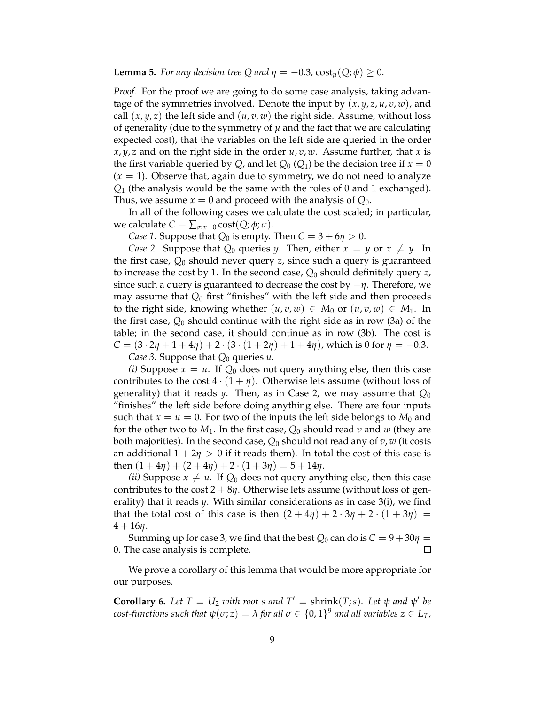#### **Lemma 5.** *For any decision tree Q and*  $\eta = -0.3$ ,  $\text{cost}_{\mu}(Q; \phi) \geq 0$ .

*Proof.* For the proof we are going to do some case analysis, taking advantage of the symmetries involved. Denote the input by  $(x, y, z, u, v, w)$ , and call  $(x, y, z)$  the left side and  $(u, v, w)$  the right side. Assume, without loss of generality (due to the symmetry of  $\mu$  and the fact that we are calculating expected cost), that the variables on the left side are queried in the order  $x, y, z$  and on the right side in the order  $u, v, w$ . Assume further, that *x* is the first variable queried by *Q*, and let  $Q_0$  ( $Q_1$ ) be the decision tree if  $x = 0$  $(x = 1)$ . Observe that, again due to symmetry, we do not need to analyze *Q*<sup>1</sup> (the analysis would be the same with the roles of 0 and 1 exchanged). Thus, we assume  $x = 0$  and proceed with the analysis of  $Q_0$ .

In all of the following cases we calculate the cost scaled; in particular, we calculate  $C \equiv \sum_{\sigma: x=0} \text{cost}(Q; \phi; \sigma)$ .

*Case 1.* Suppose that  $Q_0$  is empty. Then  $C = 3 + 6\eta > 0$ .

*Case 2.* Suppose that  $Q_0$  queries *y*. Then, either  $x = y$  or  $x \neq y$ . In the first case, *Q*<sup>0</sup> should never query *z*, since such a query is guaranteed to increase the cost by 1. In the second case, *Q*<sup>0</sup> should definitely query *z*, since such a query is guaranteed to decrease the cost by −*η*. Therefore, we may assume that  $Q_0$  first "finishes" with the left side and then proceeds to the right side, knowing whether  $(u, v, w) \in M_0$  or  $(u, v, w) \in M_1$ . In the first case, *Q*<sup>0</sup> should continue with the right side as in row (3a) of the table; in the second case, it should continue as in row (3b). The cost is  $C = (3 \cdot 2\eta + 1 + 4\eta) + 2 \cdot (3 \cdot (1 + 2\eta) + 1 + 4\eta)$ , which is 0 for  $\eta = -0.3$ .

*Case 3.* Suppose that *Q*<sup>0</sup> queries *u*.

*(i)* Suppose  $x = u$ . If  $Q_0$  does not query anything else, then this case contributes to the cost  $4 \cdot (1 + \eta)$ . Otherwise lets assume (without loss of generality) that it reads *y*. Then, as in Case 2, we may assume that *Q*<sup>0</sup> "finishes" the left side before doing anything else. There are four inputs such that  $x = u = 0$ . For two of the inputs the left side belongs to  $M_0$  and for the other two to  $M_1$ . In the first case,  $Q_0$  should read  $v$  and  $w$  (they are both majorities). In the second case, *Q*<sup>0</sup> should not read any of *v*, *w* (it costs an additional  $1 + 2\eta > 0$  if it reads them). In total the cost of this case is then  $(1 + 4\eta) + (2 + 4\eta) + 2 \cdot (1 + 3\eta) = 5 + 14\eta$ .

*(ii)* Suppose  $x \neq u$ . If  $Q_0$  does not query anything else, then this case contributes to the cost  $2 + 8\eta$ . Otherwise lets assume (without loss of generality) that it reads *y*. With similar considerations as in case 3(i), we find that the total cost of this case is then  $(2 + 4\eta) + 2 \cdot 3\eta + 2 \cdot (1 + 3\eta) =$  $4 + 16n$ .

Summing up for case 3, we find that the best  $Q_0$  can do is  $C = 9 + 30\eta =$  $\Box$ 0. The case analysis is complete.

We prove a corollary of this lemma that would be more appropriate for our purposes.

**Corollary 6.** Let  $T \equiv U_2$  *with root s and*  $T' \equiv \text{shrink}(T; s)$ *. Let*  $\psi$  *and*  $\psi'$  *be*  $\alpha$  *cost-functions such that*  $\psi(\sigma; z) = \lambda$  *for all*  $\sigma \in \{0, 1\}^9$  *and all variables*  $z \in L_T$ *,*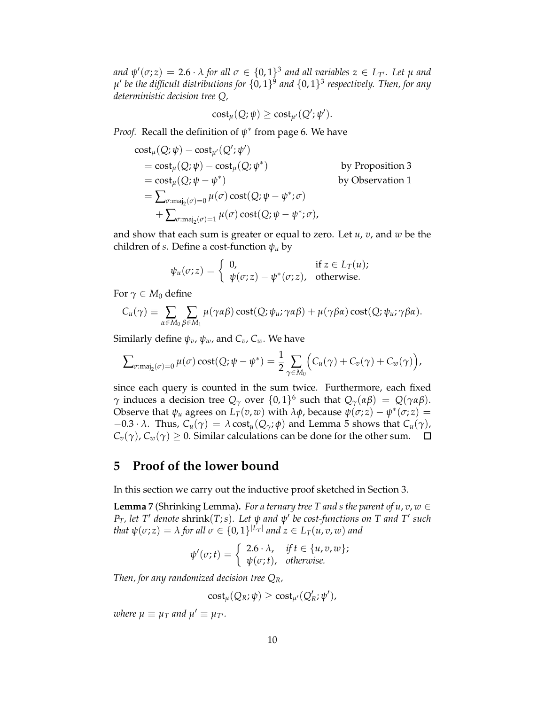*and*  $\psi'(\sigma; z) = 2.6 \cdot \lambda$  *for all*  $\sigma \in \{0, 1\}^3$  *and all variables*  $z \in L_{T'}$ *. Let*  $\mu$  *and µ* ′ *be the difficult distributions for* {0, 1} 9 *and* {0, 1} 3 *respectively. Then, for any deterministic decision tree Q,*

$$
cost_{\mu}(Q; \psi) \geq cost_{\mu'}(Q'; \psi').
$$

*Proof.* Recall the definition of *ψ* ∗ from page 6. We have

$$
\begin{aligned}\n\text{cost}_{\mu}(Q; \psi) - \text{cost}_{\mu'}(Q'; \psi') &= \text{cost}_{\mu}(Q; \psi) - \text{cost}_{\mu}(Q; \psi^*) & \text{by Proposition 3} \\
&= \text{cost}_{\mu}(Q; \psi - \psi^*) & \text{by observation 1} \\
&= \sum_{\sigma : \text{maj}_2(\sigma) = 0} \mu(\sigma) \text{cost}(Q; \psi - \psi^*; \sigma) \\
&+ \sum_{\sigma : \text{maj}_2(\sigma) = 1} \mu(\sigma) \text{cost}(Q; \psi - \psi^*; \sigma),\n\end{aligned}
$$

and show that each sum is greater or equal to zero. Let *u*, *v*, and *w* be the children of *s*. Define a cost-function *ψ<sup>u</sup>* by

$$
\psi_u(\sigma; z) = \begin{cases} 0, & \text{if } z \in L_T(u); \\ \psi(\sigma; z) - \psi^*(\sigma; z), & \text{otherwise.} \end{cases}
$$

For  $\gamma \in M_0$  define

$$
C_u(\gamma) \equiv \sum_{\alpha \in M_0} \sum_{\beta \in M_1} \mu(\gamma \alpha \beta) \cot(Q; \psi_u; \gamma \alpha \beta) + \mu(\gamma \beta \alpha) \cot(Q; \psi_u; \gamma \beta \alpha).
$$

Similarly define  $\psi_v$ ,  $\psi_w$ , and  $C_v$ ,  $C_w$ . We have

$$
\sum_{\sigma:\mathrm{maj}_2(\sigma)=0} \mu(\sigma) \cot(Q; \psi - \psi^*) = \frac{1}{2} \sum_{\gamma \in M_0} \Bigl(C_u(\gamma) + C_v(\gamma) + C_w(\gamma)\Bigr),
$$

since each query is counted in the sum twice. Furthermore, each fixed *γ* induces a decision tree  $Q_\gamma$  over  $\{0, 1\}^6$  such that  $Q_\gamma(\alpha \beta) = Q(\gamma \alpha \beta)$ . Observe that  $\psi_u$  agrees on  $L_T(v, w)$  with  $\lambda \phi$ , because  $\psi(\sigma; z) - \psi^*(\sigma; z) =$  $-0.3 \cdot λ$ . Thus,  $C_u(γ) = λ \cos t_u(Qγ, ϕ)$  and Lemma 5 shows that  $C_u(γ)$ ,  $C_v(\gamma)$ ,  $C_w(\gamma) \geq 0$ . Similar calculations can be done for the other sum.  $\Box$ 

# **5 Proof of the lower bound**

In this section we carry out the inductive proof sketched in Section 3.

**Lemma** 7 (Shrinking Lemma). *For a ternary tree T and s the parent of*  $u, v, w \in$ *PT, let T*′ *denote* shrink(*T*;*s*)*. Let ψ and ψ* ′ *be cost-functions on T and T*′ *such that*  $\psi(\sigma; z) = \lambda$  *for all*  $\sigma \in \{0, 1\}^{|L_T|}$  *and*  $z \in L_T(u, v, w)$  *and* 

$$
\psi'(\sigma;t) = \begin{cases} 2.6 \cdot \lambda, & \text{if } t \in \{u, v, w\}; \\ \psi(\sigma;t), & \text{otherwise.} \end{cases}
$$

*Then, for any randomized decision tree QR,*

$$
cost_{\mu}(Q_R; \psi) \geq cost_{\mu'}(Q'_R; \psi'),
$$

*where*  $\mu \equiv \mu_T$  and  $\mu' \equiv \mu_{T'}$ .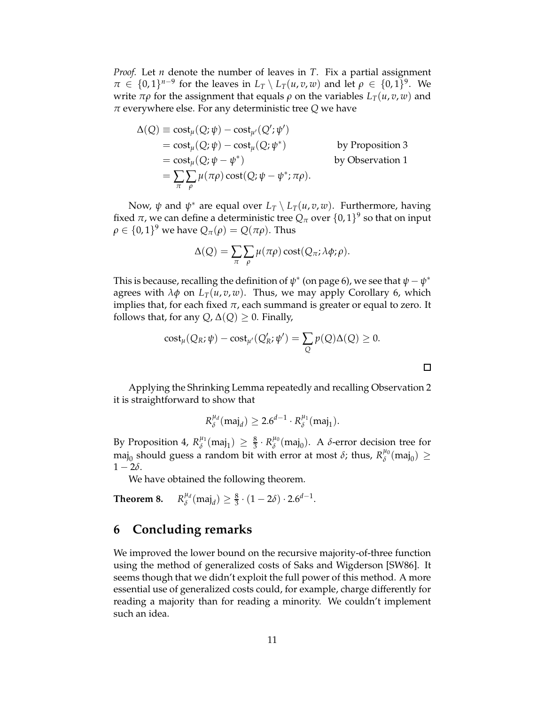*Proof.* Let *n* denote the number of leaves in *T*. Fix a partial assignment  $\pi \in \{0,1\}^{n-9}$  for the leaves in  $L_T \setminus L_T(u,v,w)$  and let  $\rho \in \{0,1\}^9$ . We write *πρ* for the assignment that equals *ρ* on the variables  $L_T(u, v, w)$  and *π* everywhere else. For any deterministic tree *Q* we have

$$
\Delta(Q) \equiv \text{cost}_{\mu}(Q; \psi) - \text{cost}_{\mu'}(Q'; \psi')
$$
  
=  $\text{cost}_{\mu}(Q; \psi) - \text{cost}_{\mu}(Q; \psi^*)$  by Proposition 3  
=  $\text{cost}_{\mu}(Q; \psi - \psi^*)$  by Observation 1  
=  $\sum_{\pi} \sum_{\rho} \mu(\pi \rho) \text{cost}(Q; \psi - \psi^*; \pi \rho).$ 

Now,  $\psi$  and  $\psi^*$  are equal over  $L_T \setminus L_T(u,v,w)$ . Furthermore, having fixed  $\pi$ , we can define a deterministic tree  $Q_{\pi}$  over  $\{0,1\}^9$  so that on input  $\rho \in \{0,1\}^9$  we have  $Q_{\pi}(\rho) = Q(\pi \rho)$ . Thus

$$
\Delta(Q) = \sum_{\pi} \sum_{\rho} \mu(\pi \rho) \cot(Q_{\pi}; \lambda \phi; \rho).
$$

This is because, recalling the definition of  $\psi^*$  (on page 6), we see that  $\psi - \psi^*$ agrees with  $\lambda \phi$  on  $L_T(u, v, w)$ . Thus, we may apply Corollary 6, which implies that, for each fixed  $\pi$ , each summand is greater or equal to zero. It follows that, for any  $Q$ ,  $\Delta(Q) \geq 0$ . Finally,

$$
cost_{\mu}(Q_R; \psi) - cost_{\mu'}(Q'_R; \psi') = \sum_{Q} p(Q) \Delta(Q) \geq 0.
$$

Applying the Shrinking Lemma repeatedly and recalling Observation 2 it is straightforward to show that

$$
R_{\delta}^{\mu_d}(\text{maj}_d) \geq 2.6^{d-1} \cdot R_{\delta}^{\mu_1}(\text{maj}_1).
$$

By Proposition 4,  $R^{\mu_1}_{\delta}$  $\chi_{\delta}^{\mu_1}(\text{maj}_1) \geq \frac{8}{3} \cdot R_{\delta}^{\mu_0}$  $\delta^{\mu_0}$ (maj<sub>0</sub>). A *δ*-error decision tree for maj<sub>0</sub> should guess a random bit with error at most  $\delta$ ; thus,  $R_{\delta}^{\mu_0}$  $b^{\mu_0}$ (maj<sub>0</sub>)  $\geq$  $1 - 2\delta$ .

We have obtained the following theorem.

**Theorem 8.**  $R_{\delta}^{\mu_d}$  $\lambda^{\mu_d}$ (maj<sub>d</sub>)  $\geq \frac{8}{3} \cdot (1 - 2\delta) \cdot 2.6^{d-1}.$ 

### **6 Concluding remarks**

We improved the lower bound on the recursive majority-of-three function using the method of generalized costs of Saks and Wigderson [SW86]. It seems though that we didn't exploit the full power of this method. A more essential use of generalized costs could, for example, charge differently for reading a majority than for reading a minority. We couldn't implement such an idea.

口